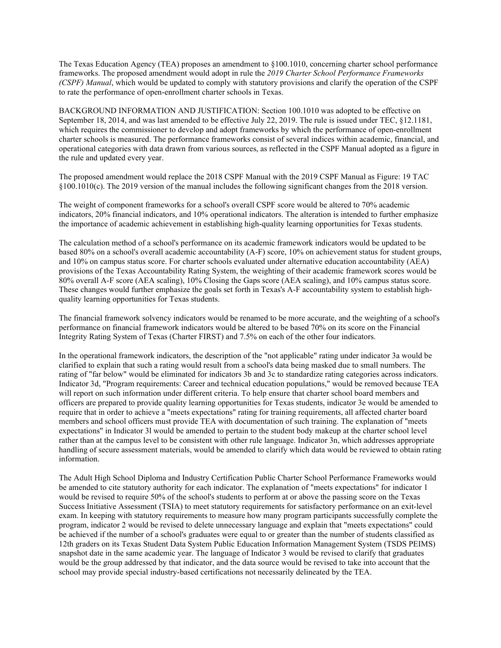The Texas Education Agency (TEA) proposes an amendment to §100.1010, concerning charter school performance frameworks. The proposed amendment would adopt in rule the *2019 Charter School Performance Frameworks (CSPF) Manual*, which would be updated to comply with statutory provisions and clarify the operation of the CSPF to rate the performance of open-enrollment charter schools in Texas.

BACKGROUND INFORMATION AND JUSTIFICATION: Section 100.1010 was adopted to be effective on September 18, 2014, and was last amended to be effective July 22, 2019. The rule is issued under TEC, §12.1181, which requires the commissioner to develop and adopt frameworks by which the performance of open-enrollment charter schools is measured. The performance frameworks consist of several indices within academic, financial, and operational categories with data drawn from various sources, as reflected in the CSPF Manual adopted as a figure in the rule and updated every year.

The proposed amendment would replace the 2018 CSPF Manual with the 2019 CSPF Manual as Figure: 19 TAC §100.1010(c). The 2019 version of the manual includes the following significant changes from the 2018 version.

The weight of component frameworks for a school's overall CSPF score would be altered to 70% academic indicators, 20% financial indicators, and 10% operational indicators. The alteration is intended to further emphasize the importance of academic achievement in establishing high-quality learning opportunities for Texas students.

The calculation method of a school's performance on its academic framework indicators would be updated to be based 80% on a school's overall academic accountability (A-F) score, 10% on achievement status for student groups, and 10% on campus status score. For charter schools evaluated under alternative education accountability (AEA) provisions of the Texas Accountability Rating System, the weighting of their academic framework scores would be 80% overall A-F score (AEA scaling), 10% Closing the Gaps score (AEA scaling), and 10% campus status score. These changes would further emphasize the goals set forth in Texas's A-F accountability system to establish highquality learning opportunities for Texas students.

The financial framework solvency indicators would be renamed to be more accurate, and the weighting of a school's performance on financial framework indicators would be altered to be based 70% on its score on the Financial Integrity Rating System of Texas (Charter FIRST) and 7.5% on each of the other four indicators.

In the operational framework indicators, the description of the "not applicable" rating under indicator 3a would be clarified to explain that such a rating would result from a school's data being masked due to small numbers. The rating of "far below" would be eliminated for indicators 3b and 3c to standardize rating categories across indicators. Indicator 3d, "Program requirements: Career and technical education populations," would be removed because TEA will report on such information under different criteria. To help ensure that charter school board members and officers are prepared to provide quality learning opportunities for Texas students, indicator 3e would be amended to require that in order to achieve a "meets expectations" rating for training requirements, all affected charter board members and school officers must provide TEA with documentation of such training. The explanation of "meets expectations" in Indicator 3l would be amended to pertain to the student body makeup at the charter school level rather than at the campus level to be consistent with other rule language. Indicator 3n, which addresses appropriate handling of secure assessment materials, would be amended to clarify which data would be reviewed to obtain rating information.

The Adult High School Diploma and Industry Certification Public Charter School Performance Frameworks would be amended to cite statutory authority for each indicator. The explanation of "meets expectations" for indicator 1 would be revised to require 50% of the school's students to perform at or above the passing score on the Texas Success Initiative Assessment (TSIA) to meet statutory requirements for satisfactory performance on an exit-level exam. In keeping with statutory requirements to measure how many program participants successfully complete the program, indicator 2 would be revised to delete unnecessary language and explain that "meets expectations" could be achieved if the number of a school's graduates were equal to or greater than the number of students classified as 12th graders on its Texas Student Data System Public Education Information Management System (TSDS PEIMS) snapshot date in the same academic year. The language of Indicator 3 would be revised to clarify that graduates would be the group addressed by that indicator, and the data source would be revised to take into account that the school may provide special industry-based certifications not necessarily delineated by the TEA.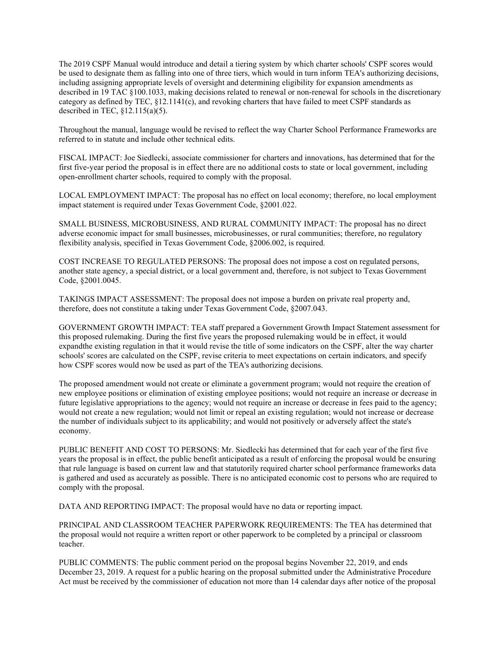The 2019 CSPF Manual would introduce and detail a tiering system by which charter schools' CSPF scores would be used to designate them as falling into one of three tiers, which would in turn inform TEA's authorizing decisions, including assigning appropriate levels of oversight and determining eligibility for expansion amendments as described in 19 TAC §100.1033, making decisions related to renewal or non-renewal for schools in the discretionary category as defined by TEC,  $\S$ 12.1141(c), and revoking charters that have failed to meet CSPF standards as described in TEC,  $\S$ 12.115(a)(5).

Throughout the manual, language would be revised to reflect the way Charter School Performance Frameworks are referred to in statute and include other technical edits.

FISCAL IMPACT: Joe Siedlecki, associate commissioner for charters and innovations, has determined that for the first five-year period the proposal is in effect there are no additional costs to state or local government, including open-enrollment charter schools, required to comply with the proposal.

LOCAL EMPLOYMENT IMPACT: The proposal has no effect on local economy; therefore, no local employment impact statement is required under Texas Government Code, §2001.022.

SMALL BUSINESS, MICROBUSINESS, AND RURAL COMMUNITY IMPACT: The proposal has no direct adverse economic impact for small businesses, microbusinesses, or rural communities; therefore, no regulatory flexibility analysis, specified in Texas Government Code, §2006.002, is required.

COST INCREASE TO REGULATED PERSONS: The proposal does not impose a cost on regulated persons, another state agency, a special district, or a local government and, therefore, is not subject to Texas Government Code, §2001.0045.

TAKINGS IMPACT ASSESSMENT: The proposal does not impose a burden on private real property and, therefore, does not constitute a taking under Texas Government Code, §2007.043.

GOVERNMENT GROWTH IMPACT: TEA staff prepared a Government Growth Impact Statement assessment for this proposed rulemaking. During the first five years the proposed rulemaking would be in effect, it would expandthe existing regulation in that it would revise the title of some indicators on the CSPF, alter the way charter schools' scores are calculated on the CSPF, revise criteria to meet expectations on certain indicators, and specify how CSPF scores would now be used as part of the TEA's authorizing decisions.

The proposed amendment would not create or eliminate a government program; would not require the creation of new employee positions or elimination of existing employee positions; would not require an increase or decrease in future legislative appropriations to the agency; would not require an increase or decrease in fees paid to the agency; would not create a new regulation; would not limit or repeal an existing regulation; would not increase or decrease the number of individuals subject to its applicability; and would not positively or adversely affect the state's economy.

PUBLIC BENEFIT AND COST TO PERSONS: Mr. Siedlecki has determined that for each year of the first five years the proposal is in effect, the public benefit anticipated as a result of enforcing the proposal would be ensuring that rule language is based on current law and that statutorily required charter school performance frameworks data is gathered and used as accurately as possible. There is no anticipated economic cost to persons who are required to comply with the proposal.

DATA AND REPORTING IMPACT: The proposal would have no data or reporting impact.

PRINCIPAL AND CLASSROOM TEACHER PAPERWORK REQUIREMENTS: The TEA has determined that the proposal would not require a written report or other paperwork to be completed by a principal or classroom teacher.

PUBLIC COMMENTS: The public comment period on the proposal begins November 22, 2019, and ends December 23, 2019. A request for a public hearing on the proposal submitted under the Administrative Procedure Act must be received by the commissioner of education not more than 14 calendar days after notice of the proposal